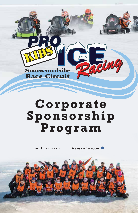

# **Corporate Sponsorship Program**

www.kidsproice.com Like us on Facebook!

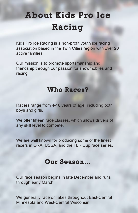## About Kids Pro Ice Racing

Kids Pro Ice Racing is a non-profit youth ice racing association based in the Twin Cities region with over 20 active families.

Our mission is to promote sportsmanship and friendship through our passion for snowmobiles and racing.

#### Who Races?

Racers range from 4-16 years of age, including both boys and girls.

We offer fifteen race classes, which allows drivers of any skill level to compete.

We are well known for producing some of the finest racers in ORA, USSA, and the TLR Cup race series.

#### Our Season…

Our race season begins in late December and runs through early March.

We generally race on lakes throughout East-Central Minnesota and West-Central Wisconsin.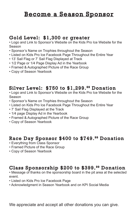#### Become a Season Sponsor

#### Gold Level: \$1,300 or greater

• Logo and Link to Sponsor's Website on the Kids Pro Ice Website for the Season

- Sponsor's Name on Trophies throughout the Season
- Listed on Kids Pro Ice Facebook Page Throughout the Entire Year
- 13' Sail Flag or 7' Sail Flag Displayed at Track
- 1/2 Page or 1/4 Page Display Ad in the Yearbook
- Framed & Autographed Picture of the Race Group
- Copy of Season Yearbook

#### Silver Level: \$750 to \$1,299. 99 Donation

• Logo and Link to Sponsor's Website on the Kids Pro Ice Website for the Season

- Sponsor's Name on Trophies throughout the Season
- Listed on Kids Pro Ice Facebook Page Throughout the Entire Year
- 7' Sail Flag Displayed at the Track
- 1/4 page Display Ad in the Yearbook
- Framed & Autographed Picture of the Race Group
- Copy of Season Yearbook

#### Race Day Sponsor \$400 to \$749. 99 Donation

- Everything from Class Sponsor
- Framed Picture of the Race Group
- Copy of Season Yearbook

#### Class Sponsorship \$200 to \$399. 99 Donation

• Message of thanks on the sponsorship board in the pit area at the selected event.

- Listed on Kids Pro Ice Facebook Page
- Acknowledgment in Season Yearbook and on KPI Social Media

We appreciate and accept all other donations you can give.